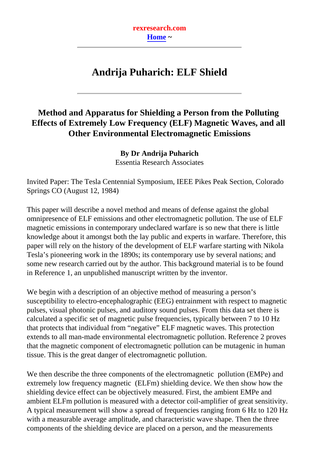**rexresearch.com [Home](http://www.rexresearch.com/index.htm) ~**

# **Andrija Puharich: ELF Shield**

# <span id="page-0-0"></span>**Method and Apparatus for Shielding a Person from the Polluting Effects of Extremely Low Frequency (ELF) Magnetic Waves, and all Other Environmental Electromagnetic Emissions**

**By Dr Andrija Puharich** Essentia Research Associates

Invited Paper: The Tesla Centennial Symposium, IEEE Pikes Peak Section, Colorado Springs CO (August 12, 1984)

This paper will describe a novel method and means of defense against the global omnipresence of ELF emissions and other electromagnetic pollution. The use of ELF magnetic emissions in contemporary undeclared warfare is so new that there is little knowledge about it amongst both the lay public and experts in warfare. Therefore, this paper will rely on the history of the development of ELF warfare starting with Nikola Tesla's pioneering work in the 1890s; its contemporary use by several nations; and some new research carried out by the author. This background material is to be found in Reference 1, an unpublished manuscript written by the inventor.

We begin with a description of an objective method of measuring a person's susceptibility to electro-encephalographic (EEG) entrainment with respect to magnetic pulses, visual photonic pulses, and auditory sound pulses. From this data set there is calculated a specific set of magnetic pulse frequencies, typically between 7 to 10 Hz that protects that individual from "negative" ELF magnetic waves. This protection extends to all man-made environmental electromagnetic pollution. Reference 2 proves that the magnetic component of electromagnetic pollution can be mutagenic in human tissue. This is the great danger of electromagnetic pollution.

We then describe the three components of the electromagnetic pollution (EMPe) and extremely low frequency magnetic (ELFm) shielding device. We then show how the shielding device effect can be objectively measured. First, the ambient EMPe and ambient ELFm pollution is measured with a detector coil-amplifier of great sensitivity. A typical measurement will show a spread of frequencies ranging from 6 Hz to 120 Hz with a measurable average amplitude, and characteristic wave shape. Then the three components of the shielding device are placed on a person, and the measurements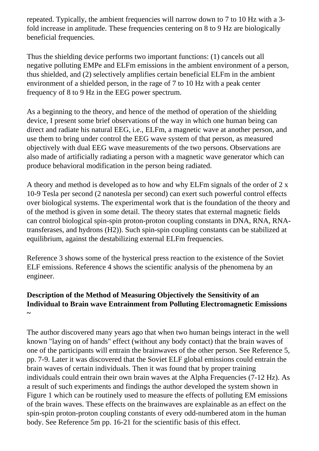repeated. Typically, the ambient frequencies will narrow down to 7 to 10 Hz with a 3 fold increase in amplitude. These frequencies centering on 8 to 9 Hz are biologically beneficial frequencies.

Thus the shielding device performs two important functions: (1) cancels out all negative polluting EMPe and ELFm emissions in the ambient environment of a person, thus shielded, and (2) selectively amplifies certain beneficial ELFm in the ambient environment of a shielded person, in the rage of 7 to 10 Hz with a peak center frequency of 8 to 9 Hz in the EEG power spectrum.

As a beginning to the theory, and hence of the method of operation of the shielding device, I present some brief observations of the way in which one human being can direct and radiate his natural EEG, i.e., ELFm, a magnetic wave at another person, and use them to bring under control the EEG wave system of that person, as measured objectively with dual EEG wave measurements of the two persons. Observations are also made of artificially radiating a person with a magnetic wave generator which can produce behavioral modification in the person being radiated.

A theory and method is developed as to how and why ELFm signals of the order of 2 x 10-9 Tesla per second (2 nanotesla per second) can exert such powerful control effects over biological systems. The experimental work that is the foundation of the theory and of the method is given in some detail. The theory states that external magnetic fields can control biological spin-spin proton-proton coupling constants in DNA, RNA, RNAtransferases, and hydrons (H2)). Such spin-spin coupling constants can be stabilized at equilibrium, against the destabilizing external ELFm frequencies.

Reference 3 shows some of the hysterical press reaction to the existence of the Soviet ELF emissions. Reference 4 shows the scientific analysis of the phenomena by an engineer.

### **Description of the Method of Measuring Objectively the Sensitivity of an Individual to Brain wave Entrainment from Polluting Electromagnetic Emissions ~**

The author discovered many years ago that when two human beings interact in the well known "laying on of hands" effect (without any body contact) that the brain waves of one of the participants will entrain the brainwaves of the other person. See Reference 5, pp. 7-9. Later it was discovered that the Soviet ELF global emissions could entrain the brain waves of certain individuals. Then it was found that by proper training individuals could entrain their own brain waves at the Alpha Frequencies (7-12 Hz). As a result of such experiments and findings the author developed the system shown in Figure 1 which can be routinely used to measure the effects of polluting EM emissions of the brain waves. These effects on the brainwaves are explainable as an effect on the spin-spin proton-proton coupling constants of every odd-numbered atom in the human body. See Reference 5m pp. 16-21 for the scientific basis of this effect.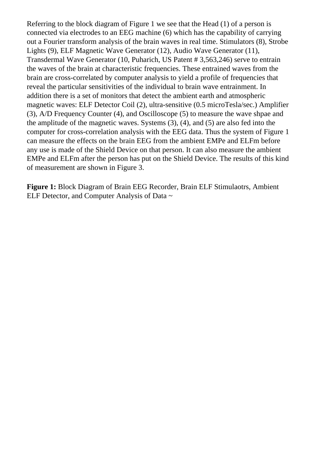Referring to the block diagram of Figure 1 we see that the Head (1) of a person is connected via electrodes to an EEG machine (6) which has the capability of carrying out a Fourier transform analysis of the brain waves in real time. Stimulators (8), Strobe Lights (9), ELF Magnetic Wave Generator (12), Audio Wave Generator (11), Transdermal Wave Generator (10, Puharich, US Patent # 3,563,246) serve to entrain the waves of the brain at characteristic frequencies. These entrained waves from the brain are cross-correlated by computer analysis to yield a profile of frequencies that reveal the particular sensitivities of the individual to brain wave entrainment. In addition there is a set of monitors that detect the ambient earth and atmospheric magnetic waves: ELF Detector Coil (2), ultra-sensitive (0.5 microTesla/sec.) Amplifier (3), A/D Frequency Counter (4), and Oscilloscope (5) to measure the wave shpae and the amplitude of the magnetic waves. Systems (3), (4), and (5) are also fed into the computer for cross-correlation analysis with the EEG data. Thus the system of Figure 1 can measure the effects on the brain EEG from the ambient EMPe and ELFm before any use is made of the Shield Device on that person. It can also measure the ambient EMPe and ELFm after the person has put on the Shield Device. The results of this kind of measurement are shown in Figure 3.

**Figure 1:** Block Diagram of Brain EEG Recorder, Brain ELF Stimulaotrs, Ambient ELF Detector, and Computer Analysis of Data ~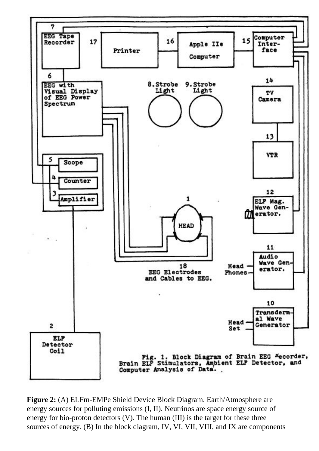

**Figure 2:** (A) ELFm-EMPe Shield Device Block Diagram. Earth/Atmosphere are energy sources for polluting emissions (I, II). Neutrinos are space energy source of energy for bio-proton detectors (V). The human (III) is the target for these three sources of energy. (B) In the block diagram, IV, VI, VII, VIII, and IX are components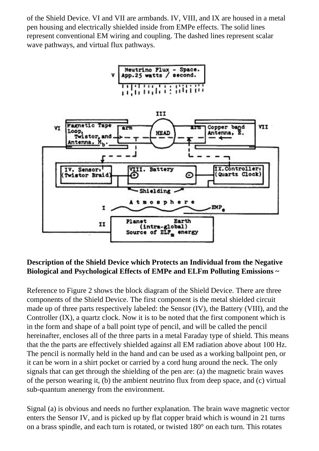of the Shield Device. VI and VII are armbands. IV, VIII, and IX are housed in a metal pen housing and electrically shielded inside from EMPe effects. The solid lines represent conventional EM wiring and coupling. The dashed lines represent scalar wave pathways, and virtual flux pathways.





### **Description of the Shield Device which Protects an Individual from the Negative Biological and Psychological Effects of EMPe and ELFm Polluting Emissions ~**

Reference to Figure 2 shows the block diagram of the Shield Device. There are three components of the Shield Device. The first component is the metal shielded circuit made up of three parts respectively labeled: the Sensor (IV), the Battery (VIII), and the Controller (IX), a quartz clock. Now it is to be noted that the first component which is in the form and shape of a ball point type of pencil, and will be called the pencil hereinafter, encloses all of the three parts in a metal Faraday type of shield. This means that the the parts are effectively shielded against all EM radiation above about 100 Hz. The pencil is normally held in the hand and can be used as a working ballpoint pen, or it can be worn in a shirt pocket or carried by a cord hung around the neck. The only signals that can get through the shielding of the pen are: (a) the magnetic brain waves of the person wearing it, (b) the ambient neutrino flux from deep space, and (c) virtual sub-quantum anenergy from the environment.

Signal (a) is obvious and needs no further explanation. The brain wave magnetic vector enters the Sensor IV, and is picked up by flat copper braid which is wound in 21 turns on a brass spindle, and each turn is rotated, or twisted 180° on each turn. This rotates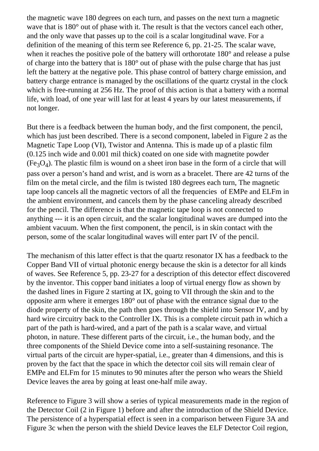the magnetic wave 180 degrees on each turn, and passes on the next turn a magnetic wave that is 180 $^{\circ}$  out of phase with it. The result is that the vectors cancel each other, and the only wave that passes up to the coil is a scalar longitudinal wave. For a definition of the meaning of this term see Reference 6, pp. 21-25. The scalar wave, when it reaches the positive pole of the battery will orthorotate 180° and release a pulse of charge into the battery that is 180° out of phase with the pulse charge that has just left the battery at the negative pole. This phase control of battery charge emission, and battery charge entrance is managed by the oscillations of the quartz crystal in the clock which is free-running at 256 Hz. The proof of this action is that a battery with a normal life, with load, of one year will last for at least 4 years by our latest measurements, if not longer.

But there is a feedback between the human body, and the first component, the pencil, which has just been described. There is a second component, labeled in Figure 2 as the Magnetic Tape Loop (VI), Twistor and Antenna. This is made up of a plastic film (0.125 inch wide and 0.001 mil thick) coated on one side with magnetite powder  $(Fe<sub>3</sub>O<sub>4</sub>)$ . The plastic film is wound on a sheet iron base in the form of a circle that will pass over a person's hand and wrist, and is worn as a bracelet. There are 42 turns of the film on the metal circle, and the film is twisted 180 degrees each turn, The magnetic tape loop cancels all the magnetic vectors of all the frequencies of EMPe and ELFm in the ambient environment, and cancels them by the phase canceling already described for the pencil. The difference is that the magnetic tape loop is not connected to anything --- it is an open circuit, and the scalar longitudinal waves are dumped into the ambient vacuum. When the first component, the pencil, is in skin contact with the person, some of the scalar longitudinal waves will enter part IV of the pencil.

The mechanism of this latter effect is that the quartz resonator IX has a feedback to the Copper Band VII of virtual photonic energy because the skin is a detector for all kinds of waves. See Reference 5, pp. 23-27 for a description of this detector effect discovered by the inventor. This copper band initiates a loop of virtual energy flow as shown by the dashed lines in Figure 2 starting at IX, going to VII through the skin and to the opposite arm where it emerges 180° out of phase with the entrance signal due to the diode property of the skin, the path then goes through the shield into Sensor IV, and by hard wire circuitry back to the Controller IX. This is a complete circuit path in which a part of the path is hard-wired, and a part of the path is a scalar wave, and virtual photon, in nature. These different parts of the circuit, i.e., the human body, and the three components of the Shield Device come into a self-sustaining resonance. The virtual parts of the circuit are hyper-spatial, i.e., greater than 4 dimensions, and this is proven by the fact that the space in which the detector coil sits will remain clear of EMPe and ELFm for 15 minutes to 90 minutes after the person who wears the Shield Device leaves the area by going at least one-half mile away.

Reference to Figure 3 will show a series of typical measurements made in the region of the Detector Coil (2 in Figure 1) before and after the introduction of the Shield Device. The persistence of a hyperspatial effect is seen in a comparison between Figure 3A and Figure 3c when the person with the shield Device leaves the ELF Detector Coil region,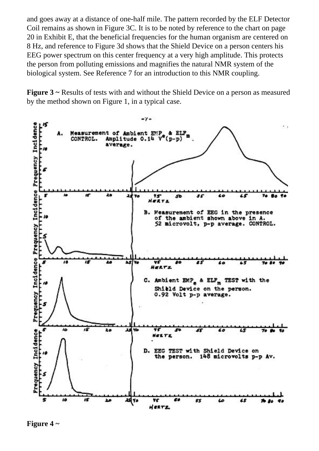and goes away at a distance of one-half mile. The pattern recorded by the ELF Detector Coil remains as shown in Figure 3C. It is to be noted by reference to the chart on page 20 in Exhibit E, that the beneficial frequencies for the human organism are centered on 8 Hz, and reference to Figure 3d shows that the Shield Device on a person centers his EEG power spectrum on this center frequency at a very high amplitude. This protects the person from polluting emissions and magnifies the natural NMR system of the biological system. See Reference 7 for an introduction to this NMR coupling.

**Figure 3** ~ Results of tests with and without the Shield Device on a person as measured by the method shown on Figure 1, in a typical case.



**Figure 4 ~**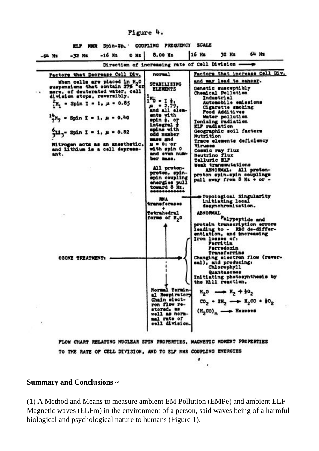#### Pigure 4.

ELP NRR Spin-Sp. COUPLING FREQUENCY SCALE

| -32 Ms<br>-64 Hz                                                                                                                                                                                                                                                                                                                     | $-16$ Hz | $0$ Xs $ $ | 8.00 KE                                                                                                                                                                                                        | 16 Hz                                                                                                                                                                                                                                                                            | 32 Ks                                                                                                                                                            | 64 Xz                                                                                                                                                                                                                       |
|--------------------------------------------------------------------------------------------------------------------------------------------------------------------------------------------------------------------------------------------------------------------------------------------------------------------------------------|----------|------------|----------------------------------------------------------------------------------------------------------------------------------------------------------------------------------------------------------------|----------------------------------------------------------------------------------------------------------------------------------------------------------------------------------------------------------------------------------------------------------------------------------|------------------------------------------------------------------------------------------------------------------------------------------------------------------|-----------------------------------------------------------------------------------------------------------------------------------------------------------------------------------------------------------------------------|
|                                                                                                                                                                                                                                                                                                                                      |          |            | Direction of increasing rate of Cell Division -                                                                                                                                                                |                                                                                                                                                                                                                                                                                  |                                                                                                                                                                  |                                                                                                                                                                                                                             |
| Pactors that Decrease Cell Div.                                                                                                                                                                                                                                                                                                      |          |            | normal                                                                                                                                                                                                         |                                                                                                                                                                                                                                                                                  |                                                                                                                                                                  | Pactors that increase Cell Div.                                                                                                                                                                                             |
| When cells are placed in H <sub>2</sub> 0<br>suspensions that contain 27% for<br>more, of deuterated water, cell<br>division stops, reversibly.<br>$_{1}^{2}$ H <sub>1</sub> = Spin I = 1. µ = 0.85<br>$\frac{15}{2}$ N <sub>7</sub> = Spin I = 1, µ = 0.40<br>$^{0}_{14}$ - Spin I = 1, µ = 0.82<br>Mitrogen acts as an anesthetic, |          |            | <b>STABILIZING</b><br><b>ELEMENTS</b><br>$1^{18}0 - 1$ 1:<br>$-2.79.$<br>and all elem-<br>ente with<br>spin j, or<br>integral +<br>spins with<br>odd number<br>mass and<br>$\mu = 0$ <sub>1</sub> or           | and may lead to cancer.<br>Genetic susceptibly<br>Chemical Pollution<br>Industrial<br>Automobile emissions<br>Cigarette smoking<br>Pood Additives<br>Water pollution<br>Ionizing radiation<br>ELF radiation<br>Geographic soil factors<br>Nutrition<br>Trace elements deficiency |                                                                                                                                                                  |                                                                                                                                                                                                                             |
| and Lithium is a cell depress-<br>ant.                                                                                                                                                                                                                                                                                               |          |            | with spin 0<br>and even num-<br>ber mass.<br>All proton-<br>proton, spin-<br>spin coupling<br>energies pull<br>toward 8 Mz.<br>************<br>MA.<br>transferases<br>Tetrahedral<br>forms of M <sub>2</sub> 0 | <b>Viruses</b><br>Cosmic ray flux<br>Neutrino flux<br>Telluric ELF<br><b>ABNORMAL</b><br>Iron losses of:                                                                                                                                                                         | Weak transmutations<br>initiating local<br>desynchronization.<br>Perritin<br>Ferredoxin<br>Transferrins                                                          | ABNORMAL. All proton-<br>proton spin-spin couplings<br>pull away from 8 Mz + or -<br>Topological Singularity<br>Pelypeptide and<br>protein transcription errors<br>leading to - RBC de-differ-<br>entiation, and increasing |
| <b>OZONE TREATMENT:</b>                                                                                                                                                                                                                                                                                                              |          |            | NOTELL TOTELDS<br>al Respiratory<br>Chain elect-<br>ron flow re-<br>stored, as<br>well as norm-<br>mal rate of<br>cell division.<br>FLOW CHART RELATING NUCLEAR SPIN PROPERTIES, MAGNETIC MOMENT PROPERTIES    |                                                                                                                                                                                                                                                                                  | sal), and producing:<br>Chlorophyll<br>Quantasomes<br>the Mill reaction.<br>$x_2^0 \rightarrow x_2 + x_2^0$<br>$(N_2$ CO) <sub>n</sub> $\longrightarrow$ Nexoses | Changing electron flow (rever-<br>Initiating photosynthesis by<br>$CO2 + 2H2 \longrightarrow H2CO + H2$                                                                                                                     |
|                                                                                                                                                                                                                                                                                                                                      |          |            | TO THE RATE OF CELL DIVISION, AND TO ELP NWR COUPLING ENERGIES                                                                                                                                                 |                                                                                                                                                                                                                                                                                  |                                                                                                                                                                  |                                                                                                                                                                                                                             |

## **Summary and Conclusions ~**

(1) A Method and Means to measure ambient EM Pollution (EMPe) and ambient ELF Magnetic waves (ELFm) in the environment of a person, said waves being of a harmful biological and psychological nature to humans (Figure 1).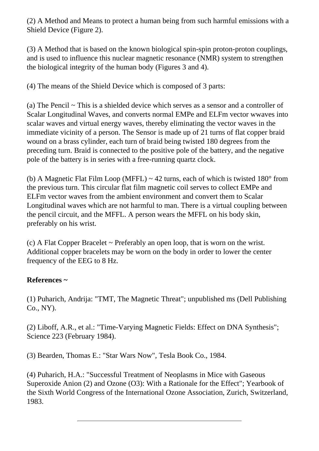(2) A Method and Means to protect a human being from such harmful emissions with a Shield Device (Figure 2).

(3) A Method that is based on the known biological spin-spin proton-proton couplings, and is used to influence this nuclear magnetic resonance (NMR) system to strengthen the biological integrity of the human body (Figures 3 and 4).

(4) The means of the Shield Device which is composed of 3 parts:

(a) The Pencil ~ This is a shielded device which serves as a sensor and a controller of Scalar Longitudinal Waves, and converts normal EMPe and ELFm vector wwaves into scalar waves and virtual energy waves, thereby eliminating the vector waves in the immediate vicinity of a person. The Sensor is made up of 21 turns of flat copper braid wound on a brass cylinder, each turn of braid being twisted 180 degrees from the preceding turn. Braid is connected to the positive pole of the battery, and the negative pole of the battery is in series with a free-running quartz clock.

(b) A Magnetic Flat Film Loop (MFFL)  $\sim$  42 turns, each of which is twisted 180 $^{\circ}$  from the previous turn. This circular flat film magnetic coil serves to collect EMPe and ELFm vector waves from the ambient environment and convert them to Scalar Longitudinal waves which are not harmful to man. There is a virtual coupling between the pencil circuit, and the MFFL. A person wears the MFFL on his body skin, preferably on his wrist.

(c) A Flat Copper Bracelet ~ Preferably an open loop, that is worn on the wrist. Additional copper bracelets may be worn on the body in order to lower the center frequency of the EEG to 8 Hz.

### **References ~**

(1) Puharich, Andrija: "TMT, The Magnetic Threat"; unpublished ms (Dell Publishing Co., NY).

(2) Liboff, A.R., et al.: "Time-Varying Magnetic Fields: Effect on DNA Synthesis"; Science 223 (February 1984).

(3) Bearden, Thomas E.: "Star Wars Now", Tesla Book Co., 1984.

(4) Puharich, H.A.: "Successful Treatment of Neoplasms in Mice with Gaseous Superoxide Anion (2) and Ozone (O3): With a Rationale for the Effect"; Yearbook of the Sixth World Congress of the International Ozone Association, Zurich, Switzerland, 1983.